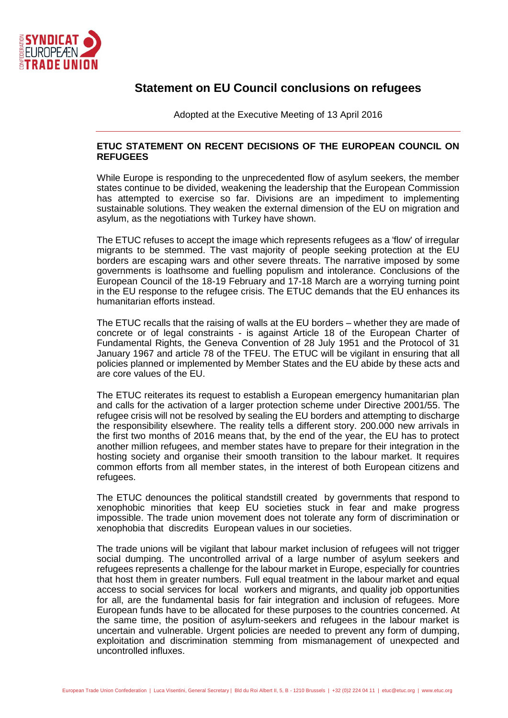

## **Statement on EU Council conclusions on refugees**

Adopted at the Executive Meeting of 13 April 2016

## **ETUC STATEMENT ON RECENT DECISIONS OF THE EUROPEAN COUNCIL ON REFUGEES**

While Europe is responding to the unprecedented flow of asylum seekers, the member states continue to be divided, weakening the leadership that the European Commission has attempted to exercise so far. Divisions are an impediment to implementing sustainable solutions. They weaken the external dimension of the EU on migration and asylum, as the negotiations with Turkey have shown.

The ETUC refuses to accept the image which represents refugees as a 'flow' of irregular migrants to be stemmed. The vast majority of people seeking protection at the EU borders are escaping wars and other severe threats. The narrative imposed by some governments is loathsome and fuelling populism and intolerance. Conclusions of the European Council of the 18-19 February and 17-18 March are a worrying turning point in the EU response to the refugee crisis. The ETUC demands that the EU enhances its humanitarian efforts instead.

The ETUC recalls that the raising of walls at the EU borders – whether they are made of concrete or of legal constraints - is against Article 18 of the European Charter of Fundamental Rights, the Geneva Convention of 28 July 1951 and the Protocol of 31 January 1967 and article 78 of the TFEU. The ETUC will be vigilant in ensuring that all policies planned or implemented by Member States and the EU abide by these acts and are core values of the EU.

The ETUC reiterates its request to establish a European emergency humanitarian plan and calls for the activation of a larger protection scheme under Directive 2001/55. The refugee crisis will not be resolved by sealing the EU borders and attempting to discharge the responsibility elsewhere. The reality tells a different story. 200.000 new arrivals in the first two months of 2016 means that, by the end of the year, the EU has to protect another million refugees, and member states have to prepare for their integration in the hosting society and organise their smooth transition to the labour market. It requires common efforts from all member states, in the interest of both European citizens and refugees.

The ETUC denounces the political standstill created by governments that respond to xenophobic minorities that keep EU societies stuck in fear and make progress impossible. The trade union movement does not tolerate any form of discrimination or xenophobia that discredits European values in our societies.

The trade unions will be vigilant that labour market inclusion of refugees will not trigger social dumping. The uncontrolled arrival of a large number of asylum seekers and refugees represents a challenge for the labour market in Europe, especially for countries that host them in greater numbers. Full equal treatment in the labour market and equal access to social services for local workers and migrants, and quality job opportunities for all, are the fundamental basis for fair integration and inclusion of refugees. More European funds have to be allocated for these purposes to the countries concerned. At the same time, the position of asylum-seekers and refugees in the labour market is uncertain and vulnerable. Urgent policies are needed to prevent any form of dumping, exploitation and discrimination stemming from mismanagement of unexpected and uncontrolled influxes.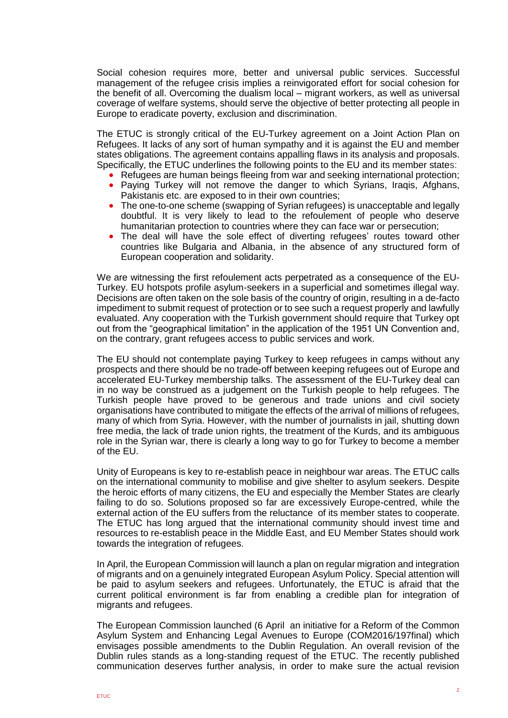Social cohesion requires more, better and universal public services. Successful management of the refugee crisis implies a reinvigorated effort for social cohesion for the benefit of all. Overcoming the dualism local – migrant workers, as well as universal coverage of welfare systems, should serve the objective of better protecting all people in Europe to eradicate poverty, exclusion and discrimination.

The ETUC is strongly critical of the EU-Turkey agreement on a Joint Action Plan on Refugees. It lacks of any sort of human sympathy and it is against the EU and member states obligations. The agreement contains appalling flaws in its analysis and proposals. Specifically, the ETUC underlines the following points to the EU and its member states:

- Refugees are human beings fleeing from war and seeking international protection;
- Paying Turkey will not remove the danger to which Syrians, Iraqis, Afghans, Pakistanis etc. are exposed to in their own countries;
- The one-to-one scheme (swapping of Syrian refugees) is unacceptable and legally doubtful. It is very likely to lead to the refoulement of people who deserve humanitarian protection to countries where they can face war or persecution;
- The deal will have the sole effect of diverting refugees' routes toward other countries like Bulgaria and Albania, in the absence of any structured form of European cooperation and solidarity.

We are witnessing the first refoulement acts perpetrated as a consequence of the EU-Turkey. EU hotspots profile asylum-seekers in a superficial and sometimes illegal way. Decisions are often taken on the sole basis of the country of origin, resulting in a de-facto impediment to submit request of protection or to see such a request properly and lawfully evaluated. Any cooperation with the Turkish government should require that Turkey opt out from the "geographical limitation" in the application of the 1951 UN Convention and, on the contrary, grant refugees access to public services and work.

The EU should not contemplate paying Turkey to keep refugees in camps without any prospects and there should be no trade-off between keeping refugees out of Europe and accelerated EU-Turkey membership talks. The assessment of the EU-Turkey deal can in no way be construed as a judgement on the Turkish people to help refugees. The Turkish people have proved to be generous and trade unions and civil society organisations have contributed to mitigate the effects of the arrival of millions of refugees, many of which from Syria. However, with the number of journalists in jail, shutting down free media, the lack of trade union rights, the treatment of the Kurds, and its ambiguous role in the Syrian war, there is clearly a long way to go for Turkey to become a member of the EU.

Unity of Europeans is key to re-establish peace in neighbour war areas. The ETUC calls on the international community to mobilise and give shelter to asylum seekers. Despite the heroic efforts of many citizens, the EU and especially the Member States are clearly failing to do so. Solutions proposed so far are excessively Europe-centred, while the external action of the EU suffers from the reluctance of its member states to cooperate. The ETUC has long argued that the international community should invest time and resources to re-establish peace in the Middle East, and EU Member States should work towards the integration of refugees.

In April, the European Commission will launch a plan on regular migration and integration of migrants and on a genuinely integrated European Asylum Policy. Special attention will be paid to asylum seekers and refugees. Unfortunately, the ETUC is afraid that the current political environment is far from enabling a credible plan for integration of migrants and refugees.

The European Commission launched (6 April an initiative for a Reform of the Common Asylum System and Enhancing Legal Avenues to Europe (COM2016/197final) which envisages possible amendments to the Dublin Regulation. An overall revision of the Dublin rules stands as a long-standing request of the ETUC. The recently published communication deserves further analysis, in order to make sure the actual revision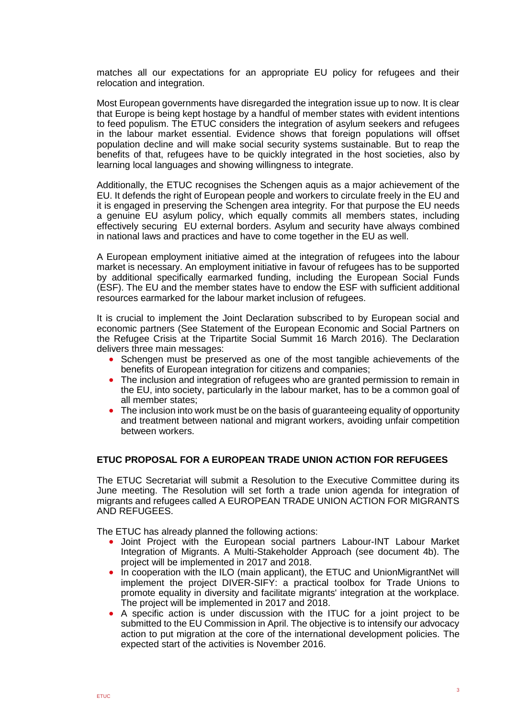matches all our expectations for an appropriate EU policy for refugees and their relocation and integration.

Most European governments have disregarded the integration issue up to now. It is clear that Europe is being kept hostage by a handful of member states with evident intentions to feed populism. The ETUC considers the integration of asylum seekers and refugees in the labour market essential. Evidence shows that foreign populations will offset population decline and will make social security systems sustainable. But to reap the benefits of that, refugees have to be quickly integrated in the host societies, also by learning local languages and showing willingness to integrate.

Additionally, the ETUC recognises the Schengen aquis as a major achievement of the EU. It defends the right of European people and workers to circulate freely in the EU and it is engaged in preserving the Schengen area integrity. For that purpose the EU needs a genuine EU asylum policy, which equally commits all members states, including effectively securing EU external borders. Asylum and security have always combined in national laws and practices and have to come together in the EU as well.

A European employment initiative aimed at the integration of refugees into the labour market is necessary. An employment initiative in favour of refugees has to be supported by additional specifically earmarked funding, including the European Social Funds (ESF). The EU and the member states have to endow the ESF with sufficient additional resources earmarked for the labour market inclusion of refugees.

It is crucial to implement the Joint Declaration subscribed to by European social and economic partners (See Statement of the European Economic and Social Partners on the Refugee Crisis at the Tripartite Social Summit 16 March 2016). The Declaration delivers three main messages:

- Schengen must be preserved as one of the most tangible achievements of the benefits of European integration for citizens and companies;
- The inclusion and integration of refugees who are granted permission to remain in the EU, into society, particularly in the labour market, has to be a common goal of all member states;
- The inclusion into work must be on the basis of quaranteeing equality of opportunity and treatment between national and migrant workers, avoiding unfair competition between workers.

## **ETUC PROPOSAL FOR A EUROPEAN TRADE UNION ACTION FOR REFUGEES**

The ETUC Secretariat will submit a Resolution to the Executive Committee during its June meeting. The Resolution will set forth a trade union agenda for integration of migrants and refugees called A EUROPEAN TRADE UNION ACTION FOR MIGRANTS AND REFUGEES.

The ETUC has already planned the following actions:

- Joint Project with the European social partners Labour-INT Labour Market Integration of Migrants. A Multi-Stakeholder Approach (see document 4b). The project will be implemented in 2017 and 2018.
- In cooperation with the ILO (main applicant), the ETUC and UnionMigrantNet will implement the project DIVER-SIFY: a practical toolbox for Trade Unions to promote equality in diversity and facilitate migrants' integration at the workplace. The project will be implemented in 2017 and 2018.
- A specific action is under discussion with the ITUC for a joint project to be submitted to the EU Commission in April. The objective is to intensify our advocacy action to put migration at the core of the international development policies. The expected start of the activities is November 2016.